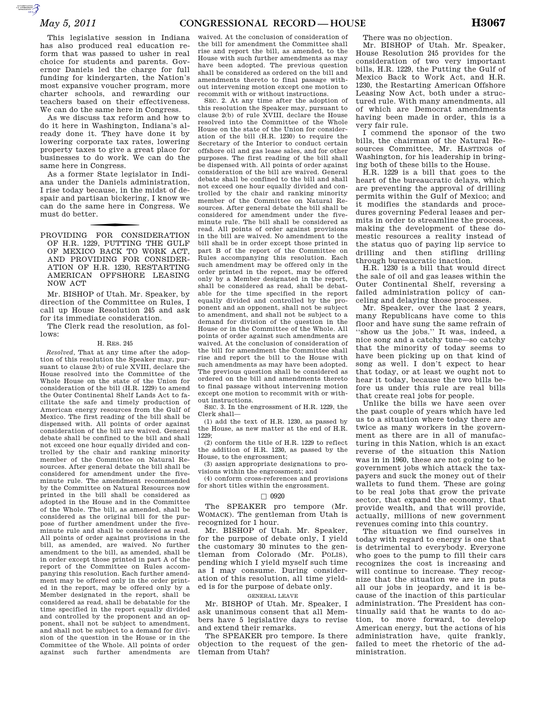AUTOROTOMICALE CONTINUES

This legislative session in Indiana has also produced real education reform that was passed to usher in real choice for students and parents. Governor Daniels led the charge for full funding for kindergarten, the Nation's most expansive voucher program, more charter schools, and rewarding our teachers based on their effectiveness. We can do the same here in Congress.

As we discuss tax reform and how to do it here in Washington, Indiana's already done it. They have done it by lowering corporate tax rates, lowering property taxes to give a great place for businesses to do work. We can do the same here in Congress.

As a former State legislator in Indiana under the Daniels administration, I rise today because, in the midst of despair and partisan bickering, I know we can do the same here in Congress. We must do better.

f PROVIDING FOR CONSIDERATION OF H.R. 1229, PUTTING THE GULF OF MEXICO BACK TO WORK ACT, AND PROVIDING FOR CONSIDER-ATION OF H.R. 1230, RESTARTING AMERICAN OFFSHORE LEASING NOW ACT

Mr. BISHOP of Utah. Mr. Speaker, by direction of the Committee on Rules, I call up House Resolution 245 and ask for its immediate consideration.

The Clerk read the resolution, as follows:

#### H. RES. 245

*Resolved,* That at any time after the adoption of this resolution the Speaker may, pursuant to clause 2(b) of rule XVIII, declare the House resolved into the Committee of the Whole House on the state of the Union for consideration of the bill (H.R. 1229) to amend the Outer Continental Shelf Lands Act to facilitate the safe and timely production of American energy resources from the Gulf of Mexico. The first reading of the bill shall be dispensed with. All points of order against consideration of the bill are waived. General debate shall be confined to the bill and shall not exceed one hour equally divided and controlled by the chair and ranking minority member of the Committee on Natural Resources. After general debate the bill shall be considered for amendment under the fiveminute rule. The amendment recommended by the Committee on Natural Resources now printed in the bill shall be considered as adopted in the House and in the Committee of the Whole. The bill, as amended, shall be considered as the original bill for the purpose of further amendment under the fiveminute rule and shall be considered as read. All points of order against provisions in the bill, as amended, are waived. No further amendment to the bill, as amended, shall be in order except those printed in part A of the report of the Committee on Rules accompanying this resolution. Each further amendment may be offered only in the order printed in the report, may be offered only by a Member designated in the report, shall be considered as read, shall be debatable for the time specified in the report equally divided and controlled by the proponent and an opponent, shall not be subject to amendment, and shall not be subject to a demand for division of the question in the House or in the Committee of the Whole. All points of order against such further amendments are

waived. At the conclusion of consideration of the bill for amendment the Committee shall rise and report the bill, as amended, to the House with such further amendments as may have been adopted. The previous question shall be considered as ordered on the bill and amendments thereto to final passage without intervening motion except one motion to recommit with or without instructions.

SEC. 2. At any time after the adoption of this resolution the Speaker may, pursuant to clause 2(b) of rule XVIII, declare the House resolved into the Committee of the Whole House on the state of the Union for consideration of the bill (H.R. 1230) to require the Secretary of the Interior to conduct certain offshore oil and gas lease sales, and for other purposes. The first reading of the bill shall be dispensed with. All points of order against consideration of the bill are waived. General debate shall be confined to the bill and shall not exceed one hour equally divided and controlled by the chair and ranking minority member of the Committee on Natural Resources. After general debate the bill shall be considered for amendment under the fiveminute rule. The bill shall be considered as read. All points of order against provisions in the bill are waived. No amendment to the bill shall be in order except those printed in part B of the report of the Committee on Rules accompanying this resolution. Each such amendment may be offered only in the order printed in the report, may be offered only by a Member designated in the report, shall be considered as read, shall be debatable for the time specified in the report equally divided and controlled by the proponent and an opponent, shall not be subject to amendment, and shall not be subject to a demand for division of the question in the House or in the Committee of the Whole. All points of order against such amendments are waived. At the conclusion of consideration of the bill for amendment the Committee shall rise and report the bill to the House with such amendments as may have been adopted. The previous question shall be considered as ordered on the bill and amendments thereto to final passage without intervening motion except one motion to recommit with or without instructions.

SEC. 3. In the engrossment of H.R. 1229, the Clerk shall—

(1) add the text of H.R. 1230, as passed by the House, as new matter at the end of H.R. 1229;

(2) conform the title of H.R. 1229 to reflect the addition of H.R. 1230, as passed by the House, to the engrossment;

(3) assign appropriate designations to provisions within the engrossment; and

(4) conform cross-references and provisions for short titles within the engrossment.

### $\Box$  0920

The SPEAKER pro tempore (Mr. WOMACK). The gentleman from Utah is recognized for 1 hour.

Mr. BISHOP of Utah. Mr. Speaker, for the purpose of debate only, I yield the customary 30 minutes to the gentleman from Colorado (Mr. POLIS), pending which I yield myself such time as I may consume. During consideration of this resolution, all time yielded is for the purpose of debate only.

#### GENERAL LEAVE

Mr. BISHOP of Utah. Mr. Speaker, I ask unanimous consent that all Members have 5 legislative days to revise and extend their remarks.

The SPEAKER pro tempore. Is there objection to the request of the gentleman from Utah?

There was no objection.

Mr. BISHOP of Utah. Mr. Speaker, House Resolution 245 provides for the consideration of two very important bills, H.R. 1229, the Putting the Gulf of Mexico Back to Work Act, and H.R. 1230, the Restarting American Offshore Leasing Now Act, both under a structured rule. With many amendments, all of which are Democrat amendments having been made in order, this is a very fair rule.

I commend the sponsor of the two bills, the chairman of the Natural Resources Committee, Mr. HASTINGS of Washington, for his leadership in bringing both of these bills to the House.

H.R. 1229 is a bill that goes to the heart of the bureaucratic delays, which are preventing the approval of drilling permits within the Gulf of Mexico; and it modifies the standards and procedures governing Federal leases and permits in order to streamline the process, making the development of these domestic resources a reality instead of the status quo of paying lip service to drilling and then stifling drilling through bureaucratic inaction.

H.R. 1230 is a bill that would direct the sale of oil and gas leases within the Outer Continental Shelf, reversing a failed administration policy of canceling and delaying those processes.

Mr. Speaker, over the last 2 years, many Republicans have come to this floor and have sung the same refrain of ''show us the jobs.'' It was, indeed, a nice song and a catchy tune—so catchy that the minority of today seems to have been picking up on that kind of song as well. I don't expect to hear that today, or at least we ought not to hear it today, because the two bills before us under this rule are real bills that create real jobs for people.

Unlike the bills we have seen over the past couple of years which have led us to a situation where today there are twice as many workers in the government as there are in all of manufacturing in this Nation, which is an exact reverse of the situation this Nation was in in 1960, these are not going to be government jobs which attack the taxpayers and suck the money out of their wallets to fund them. These are going to be real jobs that grow the private sector, that expand the economy, that provide wealth, and that will provide, actually, millions of new government revenues coming into this country.

The situation we find ourselves in today with regard to energy is one that is detrimental to everybody. Everyone who goes to the pump to fill their cars recognizes the cost is increasing and will continue to increase. They recognize that the situation we are in puts all our jobs in jeopardy, and it is because of the inaction of this particular administration. The President has continually said that he wants to do action, to move forward, to develop American energy, but the actions of his administration have, quite frankly, failed to meet the rhetoric of the administration.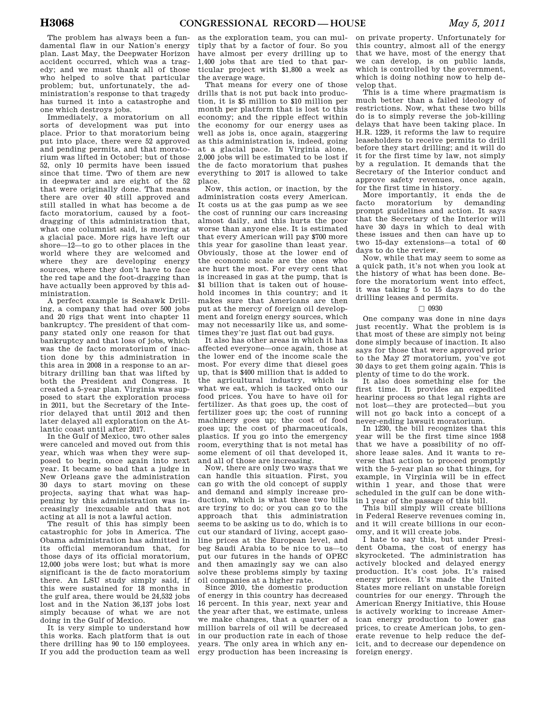The problem has always been a fundamental flaw in our Nation's energy plan. Last May, the Deepwater Horizon accident occurred, which was a tragedy; and we must thank all of those who helped to solve that particular problem; but, unfortunately, the administration's response to that tragedy has turned it into a catastrophe and one which destroys jobs.

Immediately, a moratorium on all sorts of development was put into place. Prior to that moratorium being put into place, there were 52 approved and pending permits, and that moratorium was lifted in October; but of those 52, only 10 permits have been issued since that time. Two of them are new in deepwater and are eight of the 52 that were originally done. That means there are over 40 still approved and still stalled in what has become a de facto moratorium, caused by a footdragging of this administration that, what one columnist said, is moving at a glacial pace. More rigs have left our shore—12—to go to other places in the world where they are welcomed and where they are developing energy sources, where they don't have to face the red tape and the foot-dragging than have actually been approved by this administration.

A perfect example is Seahawk Drilling, a company that had over 500 jobs and 20 rigs that went into chapter 11 bankruptcy. The president of that company stated only one reason for that bankruptcy and that loss of jobs, which was the de facto moratorium of inaction done by this administration in this area in 2008 in a response to an arbitrary drilling ban that was lifted by both the President and Congress. It created a 5-year plan. Virginia was supposed to start the exploration process in 2011, but the Secretary of the Interior delayed that until 2012 and then later delayed all exploration on the Atlantic coast until after 2017.

In the Gulf of Mexico, two other sales were canceled and moved out from this year, which was when they were supposed to begin, once again into next year. It became so bad that a judge in New Orleans gave the administration 30 days to start moving on these projects, saying that what was happening by this administration was increasingly inexcusable and that not acting at all is not a lawful action.

The result of this has simply been catastrophic for jobs in America. The Obama administration has admitted in its official memorandum that, for those days of its official moratorium, 12,000 jobs were lost; but what is more significant is the de facto moratorium there. An LSU study simply said, if this were sustained for 18 months in the gulf area, there would be 24,532 jobs lost and in the Nation 36,137 jobs lost simply because of what we are not doing in the Gulf of Mexico.

It is very simple to understand how this works. Each platform that is out there drilling has 90 to 150 employees. If you add the production team as well

as the exploration team, you can multiply that by a factor of four. So you have almost per every drilling up to 1,400 jobs that are tied to that particular project with \$1,800 a week as the average wage.

That means for every one of those drills that is not put back into production, it is \$5 million to \$10 million per month per platform that is lost to this economy; and the ripple effect within the economy for our energy uses as well as jobs is, once again, staggering as this administration is, indeed, going at a glacial pace. In Virginia alone, 2,000 jobs will be estimated to be lost if the de facto moratorium that pushes everything to 2017 is allowed to take place.

Now, this action, or inaction, by the administration costs every American. It costs us at the gas pump as we see the cost of running our cars increasing almost daily, and this hurts the poor worse than anyone else. It is estimated that every American will pay \$700 more this year for gasoline than least year. Obviously, those at the lower end of the economic scale are the ones who are hurt the most. For every cent that is increased in gas at the pump, that is \$1 billion that is taken out of household incomes in this country; and it makes sure that Americans are then put at the mercy of foreign oil development and foreign energy sources, which may not necessarily like us, and sometimes they're just flat out bad guys.

It also has other areas in which it has affected everyone—once again, those at the lower end of the income scale the most. For every dime that diesel goes up, that is \$400 million that is added to the agricultural industry, which is what we eat, which is tacked onto our food prices. You have to have oil for fertilizer. As that goes up, the cost of fertilizer goes up; the cost of running machinery goes up; the cost of food goes up; the cost of pharmaceuticals, plastics. If you go into the emergency room, everything that is not metal has some element of oil that developed it, and all of those are increasing.

Now, there are only two ways that we can handle this situation. First, you can go with the old concept of supply and demand and simply increase production, which is what these two bills are trying to do; or you can go to the approach that this administration seems to be asking us to do, which is to cut our standard of living, accept gasoline prices at the European level, and beg Saudi Arabia to be nice to us—to put our futures in the hands of OPEC and then amazingly say we can also solve these problems simply by taxing oil companies at a higher rate.

Since 2010, the domestic production of energy in this country has decreased 16 percent. In this year, next year and the year after that, we estimate, unless we make changes, that a quarter of a million barrels of oil will be decreased in our production rate in each of those years. The only area in which any energy production has been increasing is

on private property. Unfortunately for this country, almost all of the energy that we have, most of the energy that we can develop, is on public lands, which is controlled by the government, which is doing nothing now to help develop that.

This is a time where pragmatism is much better than a failed ideology of restrictions. Now, what these two bills do is to simply reverse the job-killing delays that have been taking place. In H.R. 1229, it reforms the law to require leaseholders to receive permits to drill before they start drilling; and it will do it for the first time by law, not simply by a regulation. It demands that the Secretary of the Interior conduct and approve safety revenues, once again, for the first time in history.

More importantly, it ends the de<br>cto moratorium by demanding facto moratorium by prompt guidelines and action. It says that the Secretary of the Interior will have 30 days in which to deal with these issues and then can have up to two 15-day extensions—a total of 60 days to do the review.

Now, while that may seem to some as a quick path, it's not when you look at the history of what has been done. Before the moratorium went into effect, it was taking 5 to 15 days to do the drilling leases and permits.

#### $\Box$  0930

One company was done in nine days just recently. What the problem is is that most of these are simply not being done simply because of inaction. It also says for those that were approved prior to the May 27 moratorium, you've got 30 days to get them going again. This is plenty of time to do the work.

It also does something else for the first time. It provides an expedited hearing process so that legal rights are not lost—they are protected—but you will not go back into a concept of a never-ending lawsuit moratorium.

In 1230, the bill recognizes that this year will be the first time since 1958 that we have a possibility of no offshore lease sales. And it wants to reverse that action to proceed promptly with the 5-year plan so that things, for example, in Virginia will be in effect within 1 year, and those that were scheduled in the gulf can be done within 1 year of the passage of this bill.

This bill simply will create billions in Federal Reserve revenues coming in, and it will create billions in our economy, and it will create jobs.

I hate to say this, but under President Obama, the cost of energy has skyrocketed. The administration has actively blocked and delayed energy production. It's cost jobs. It's raised energy prices. It's made the United States more reliant on unstable foreign countries for our energy. Through the American Energy Initiative, this House is actively working to increase American energy production to lower gas prices, to create American jobs, to generate revenue to help reduce the deficit, and to decrease our dependence on foreign energy.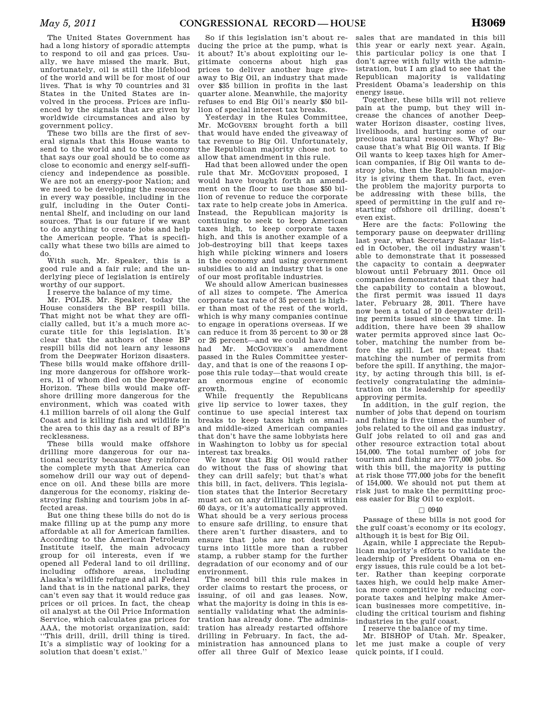The United States Government has had a long history of sporadic attempts to respond to oil and gas prices. Usually, we have missed the mark. But, unfortunately, oil is still the lifeblood of the world and will be for most of our lives. That is why 70 countries and 31 States in the United States are involved in the process. Prices are influenced by the signals that are given by worldwide circumstances and also by government policy.

These two bills are the first of several signals that this House wants to send to the world and to the economy that says our goal should be to come as close to economic and energy self-sufficiency and independence as possible. We are not an energy-poor Nation; and we need to be developing the resources in every way possible, including in the gulf, including in the Outer Continental Shelf, and including on our land sources. That is our future if we want to do anything to create jobs and help the American people. That is specifically what these two bills are aimed to do.

With such, Mr. Speaker, this is a good rule and a fair rule; and the underlying piece of legislation is entirely worthy of our support.

I reserve the balance of my time.

Mr. POLIS. Mr. Speaker, today the House considers the BP respill bills. That might not be what they are officially called, but it's a much more accurate title for this legislation. It's clear that the authors of these BP respill bills did not learn any lessons from the Deepwater Horizon disasters. These bills would make offshore drilling more dangerous for offshore workers, 11 of whom died on the Deepwater Horizon. These bills would make offshore drilling more dangerous for the environment, which was coated with 4.1 million barrels of oil along the Gulf Coast and is killing fish and wildlife in the area to this day as a result of BP's recklessness.

These bills would make offshore drilling more dangerous for our national security because they reinforce the complete myth that America can somehow drill our way out of dependence on oil. And these bills are more dangerous for the economy, risking destroying fishing and tourism jobs in affected areas.

But one thing these bills do not do is make filling up at the pump any more affordable at all for American families. According to the American Petroleum Institute itself, the main advocacy group for oil interests, even if we opened all Federal land to oil drilling, including offshore areas, including Alaska's wildlife refuge and all Federal land that is in the national parks, they can't even say that it would reduce gas prices or oil prices. In fact, the cheap oil analyst at the Oil Price Information Service, which calculates gas prices for AAA, the motorist organization, said: ''This drill, drill, drill thing is tired. It's a simplistic way of looking for a solution that doesn't exist.''

So if this legislation isn't about reducing the price at the pump, what is it about? It's about exploiting our legitimate concerns about high gas prices to deliver another huge giveaway to Big Oil, an industry that made over \$35 billion in profits in the last quarter alone. Meanwhile, the majority refuses to end Big Oil's nearly \$50 billion of special interest tax breaks.

Yesterday in the Rules Committee, Mr. MCGOVERN brought forth a bill that would have ended the giveaway of tax revenue to Big Oil. Unfortunately, the Republican majority chose not to allow that amendment in this rule.

Had that been allowed under the open rule that Mr. MCGOVERN proposed, I would have brought forth an amendment on the floor to use those \$50 billion of revenue to reduce the corporate tax rate to help create jobs in America. Instead, the Republican majority is continuing to seek to keep American taxes high, to keep corporate taxes high, and this is another example of a job-destroying bill that keeps taxes high while picking winners and losers in the economy and using government subsidies to aid an industry that is one of our most profitable industries.

We should allow American businesses of all sizes to compete. The America corporate tax rate of 35 percent is higher than most of the rest of the world, which is why many companies continue to engage in operations overseas. If we can reduce it from 35 percent to 30 or 28 or 26 percent—and we could have done<br>had Mr. McGovERN's amendment Mr. McGovERN's amendment passed in the Rules Committee yesterday, and that is one of the reasons I oppose this rule today—that would create an enormous engine of economic growth.

While frequently the Republicans give lip service to lower taxes, they continue to use special interest tax breaks to keep taxes high on smalland middle-sized American companies that don't have the same lobbyists here in Washington to lobby us for special interest tax breaks.

We know that Big Oil would rather do without the fuss of showing that they can drill safely; but that's what this bill, in fact, delivers. This legislation states that the Interior Secretary must act on any drilling permit within 60 days, or it's automatically approved. What should be a very serious process to ensure safe drilling, to ensure that there aren't further disasters, and to ensure that jobs are not destroyed turns into little more than a rubber stamp, a rubber stamp for the further degradation of our economy and of our environment.

The second bill this rule makes in order claims to restart the process, or issuing, of oil and gas leases. Now, what the majority is doing in this is essentially validating what the administration has already done. The administration has already restarted offshore drilling in February. In fact, the administration has announced plans to offer all three Gulf of Mexico lease

sales that are mandated in this bill this year or early next year. Again, this particular policy is one that I don't agree with fully with the administration, but I am glad to see that the Republican majority is validating President Obama's leadership on this energy issue.

Together, these bills will not relieve pain at the pump, but they will increase the chances of another Deepwater Horizon disaster, costing lives, livelihoods, and hurting some of our precious natural resources. Why? Because that's what Big Oil wants. If Big Oil wants to keep taxes high for American companies, if Big Oil wants to destroy jobs, then the Republican majority is giving them that. In fact, even the problem the majority purports to be addressing with these bills, the speed of permitting in the gulf and restarting offshore oil drilling, doesn't even exist.

Here are the facts: Following the temporary pause on deepwater drilling last year, what Secretary Salazar listed in October, the oil industry wasn't able to demonstrate that it possessed the capacity to contain a deepwater blowout until February 2011. Once oil companies demonstrated that they had the capability to contain a blowout, the first permit was issued 11 days later, February 28, 2011. There have now been a total of 10 deepwater drilling permits issued since that time. In addition, there have been 39 shallow water permits approved since last October, matching the number from before the spill. Let me repeat that: matching the number of permits from before the spill. If anything, the majority, by acting through this bill, is effectively congratulating the administration on its leadership for speedily approving permits.

In addition, in the gulf region, the number of jobs that depend on tourism and fishing is five times the number of jobs related to the oil and gas industry. Gulf jobs related to oil and gas and other resource extraction total about 154,000. The total number of jobs for tourism and fishing are 777,000 jobs. So with this bill, the majority is putting at risk those 777,000 jobs for the benefit of 154,000. We should not put them at risk just to make the permitting process easier for Big Oil to exploit.

## $\Box$  0940

Passage of these bills is not good for the gulf coast's economy or its ecology, although it is best for Big Oil.

Again, while I appreciate the Republican majority's efforts to validate the leadership of President Obama on energy issues, this rule could be a lot better. Rather than keeping corporate taxes high, we could help make America more competitive by reducing corporate taxes and helping make American businesses more competitive, including the critical tourism and fishing industries in the gulf coast.

I reserve the balance of my time.

Mr. BISHOP of Utah. Mr. Speaker, let me just make a couple of very quick points, if I could.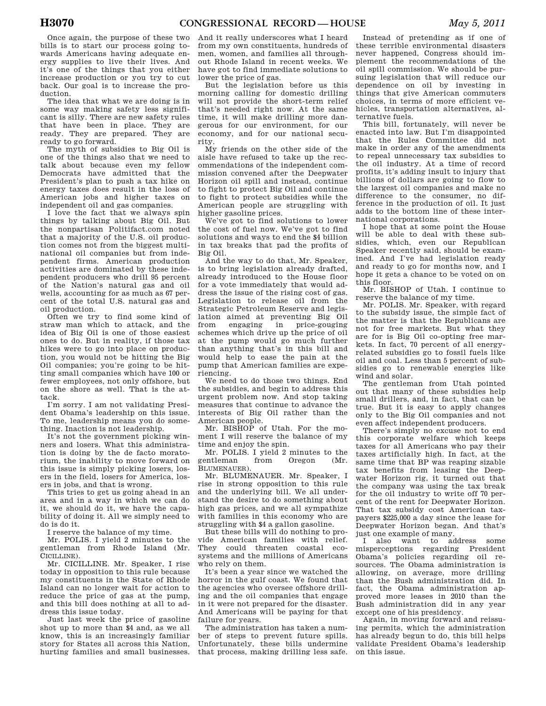Once again, the purpose of these two bills is to start our process going towards Americans having adequate energy supplies to live their lives. And it's one of the things that you either increase production or you try to cut back. Our goal is to increase the production.

The idea that what we are doing is in some way making safety less significant is silly. There are new safety rules that have been in place. They are ready. They are prepared. They are ready to go forward.

The myth of subsidies to Big Oil is one of the things also that we need to talk about because even my fellow Democrats have admitted that the President's plan to push a tax hike on energy taxes does result in the loss of American jobs and higher taxes on independent oil and gas companies.

I love the fact that we always spin things by talking about Big Oil. But the nonpartisan Politifact.com noted that a majority of the U.S. oil production comes not from the biggest multinational oil companies but from independent firms. American production activities are dominated by these independent producers who drill 95 percent of the Nation's natural gas and oil wells, accounting for as much as 67 percent of the total U.S. natural gas and oil production.

Often we try to find some kind of straw man which to attack, and the idea of Big Oil is one of those easiest ones to do. But in reality, if those tax hikes were to go into place on production, you would not be hitting the Big Oil companies; you're going to be hitting small companies which have 100 or fewer employees, not only offshore, but on the shore as well. That is the attack.

I'm sorry. I am not validating President Obama's leadership on this issue. To me, leadership means you do something. Inaction is not leadership.

It's not the government picking winners and losers. What this administration is doing by the de facto moratorium, the inability to move forward on this issue is simply picking losers, losers in the field, losers for America, losers in jobs, and that is wrong.

This tries to get us going ahead in an area and in a way in which we can do it, we should do it, we have the capability of doing it. All we simply need to do is do it.

I reserve the balance of my time.

Mr. POLIS. I yield 2 minutes to the gentleman from Rhode Island (Mr. CICILLINE).

Mr. CICILLINE. Mr. Speaker, I rise today in opposition to this rule because my constituents in the State of Rhode Island can no longer wait for action to reduce the price of gas at the pump, and this bill does nothing at all to address this issue today.

Just last week the price of gasoline shot up to more than \$4 and, as we all know, this is an increasingly familiar story for States all across this Nation, hurting families and small businesses.

And it really underscores what I heard from my own constituents, hundreds of men, women, and families all throughout Rhode Island in recent weeks. We have got to find immediate solutions to lower the price of gas.

But the legislation before us this morning calling for domestic drilling will not provide the short-term relief that's needed right now. At the same time, it will make drilling more dangerous for our environment, for our economy, and for our national security.

My friends on the other side of the aisle have refused to take up the recommendations of the independent commission convened after the Deepwater Horizon oil spill and instead, continue to fight to protect Big Oil and continue to fight to protect subsidies while the American people are struggling with higher gasoline prices.

We've got to find solutions to lower the cost of fuel now. We've got to find solutions and ways to end the \$4 billion in tax breaks that pad the profits of Big Oil.

And the way to do that, Mr. Speaker, is to bring legislation already drafted, already introduced to the House floor for a vote immediately that would address the issue of the rising cost of gas. Legislation to release oil from the Strategic Petroleum Reserve and legislation aimed at preventing Big Oil from engaging in price-gouging schemes which drive up the price of oil at the pump would go much further than anything that's in this bill and would help to ease the pain at the pump that American families are experiencing.

We need to do those two things. End the subsidies, and begin to address this urgent problem now. And stop taking measures that continue to advance the interests of Big Oil rather than the American people.

Mr. BISHOP of Utah. For the moment I will reserve the balance of my time and enjoy the spin.

Mr. POLIS. I yield 2 minutes to the gentleman from Oregon (Mr. BLUMENAUER).

Mr. BLUMENAUER. Mr. Speaker, I rise in strong opposition to this rule and the underlying bill. We all understand the desire to do something about high gas prices, and we all sympathize with families in this economy who are struggling with \$4 a gallon gasoline.

But these bills will do nothing to provide American families with relief. They could threaten coastal ecosystems and the millions of Americans who rely on them.

It's been a year since we watched the horror in the gulf coast. We found that the agencies who oversee offshore drilling and the oil companies that engage in it were not prepared for the disaster. And Americans will be paying for that failure for years.

The administration has taken a number of steps to prevent future spills. Unfortunately, these bills undermine that process, making drilling less safe.

Instead of pretending as if one of these terrible environmental disasters never happened, Congress should implement the recommendations of the oil spill commission. We should be pursuing legislation that will reduce our dependence on oil by investing in things that give American commuters choices, in terms of more efficient vehicles, transportation alternatives, alternative fuels.

This bill, fortunately, will never be enacted into law. But I'm disappointed that the Rules Committee did not make in order any of the amendments to repeal unnecessary tax subsidies to the oil industry. At a time of record profits, it's adding insult to injury that billions of dollars are going to flow to the largest oil companies and make no difference to the consumer, no difference in the production of oil. It just adds to the bottom line of these international corporations.

I hope that at some point the House will be able to deal with these subsidies, which, even our Republican Speaker recently said, should be examined. And I've had legislation ready and ready to go for months now, and I hope it gets a chance to be voted on on this floor.

Mr. BISHOP of Utah. I continue to reserve the balance of my time.

Mr. POLIS. Mr. Speaker, with regard to the subsidy issue, the simple fact of the matter is that the Republicans are not for free markets. But what they are for is Big Oil co-opting free markets. In fact, 70 percent of all energyrelated subsidies go to fossil fuels like oil and coal. Less than 5 percent of subsidies go to renewable energies like wind and solar.

The gentleman from Utah pointed out that many of these subsidies help small drillers, and, in fact, that can be true. But it is easy to apply changes only to the Big Oil companies and not even affect independent producers.

There's simply no excuse not to end this corporate welfare which keeps taxes for all Americans who pay their taxes artificially high. In fact, at the same time that BP was reaping sizable tax benefits from leasing the Deepwater Horizon rig, it turned out that the company was using the tax break for the oil industry to write off 70 percent of the rent for Deepwater Horizon. That tax subsidy cost American taxpayers \$225,000 a day since the lease for Deepwater Horizon began. And that's just one example of many.

I also want to address some misperceptions regarding President Obama's policies regarding oil resources. The Obama administration is allowing, on average, more drilling than the Bush administration did. In fact, the Obama administration approved more leases in 2010 than the Bush administration did in any year except one of his presidency.

Again, in moving forward and reissuing permits, which the administration has already begun to do, this bill helps validate President Obama's leadership on this issue.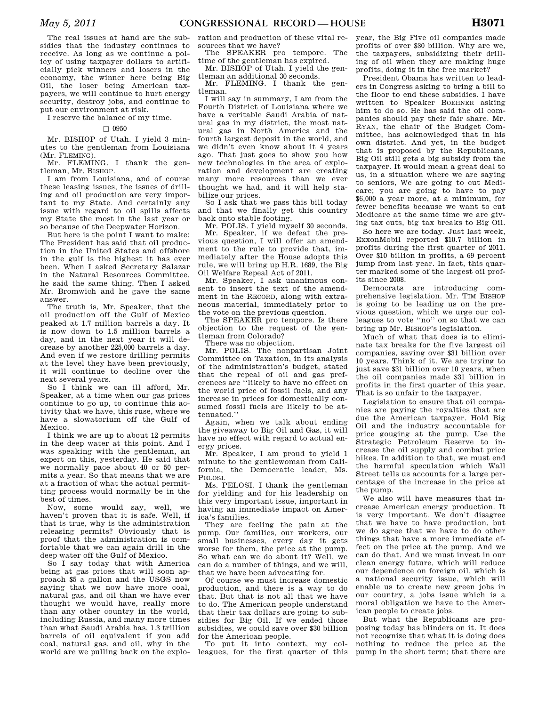The real issues at hand are the subsidies that the industry continues to receive. As long as we continue a policy of using taxpayer dollars to artificially pick winners and losers in the economy, the winner here being Big Oil, the loser being American taxpayers, we will continue to hurt energy security, destroy jobs, and continue to put our environment at risk.

I reserve the balance of my time.

## $\Box$  0950

Mr. BISHOP of Utah. I yield 3 minutes to the gentleman from Louisiana (Mr. FLEMING).

Mr. FLEMING. I thank the gentleman, Mr. BISHOP.

I am from Louisiana, and of course these leasing issues, the issues of drilling and oil production are very important to my State. And certainly any issue with regard to oil spills affects my State the most in the last year or so because of the Deepwater Horizon.

But here is the point I want to make: The President has said that oil production in the United States and offshore in the gulf is the highest it has ever been. When I asked Secretary Salazar in the Natural Resources Committee, he said the same thing. Then I asked Mr. Bromwich and he gave the same answer.

The truth is, Mr. Speaker, that the oil production off the Gulf of Mexico peaked at 1.7 million barrels a day. It is now down to 1.5 million barrels a day, and in the next year it will decrease by another 225,000 barrels a day. And even if we restore drilling permits at the level they have been previously, it will continue to decline over the next several years.

So I think we can ill afford, Mr. Speaker, at a time when our gas prices continue to go up, to continue this activity that we have, this ruse, where we have a slowatorium off the Gulf of Mexico.

I think we are up to about 12 permits in the deep water at this point. And I was speaking with the gentleman, an expert on this, yesterday. He said that we normally pace about 40 or 50 permits a year. So that means that we are at a fraction of what the actual permitting process would normally be in the best of times.

Now, some would say, well, we haven't proven that it is safe. Well, if that is true, why is the administration releasing permits? Obviously that is proof that the administration is comfortable that we can again drill in the deep water off the Gulf of Mexico.

So I say today that with America being at gas prices that will soon approach \$5 a gallon and the USGS now saying that we now have more coal, natural gas, and oil than we have ever thought we would have, really more than any other country in the world, including Russia, and many more times than what Saudi Arabia has, 1.3 trillion barrels of oil equivalent if you add coal, natural gas, and oil, why in the world are we pulling back on the explo-

ration and production of these vital resources that we have?

The SPEAKER pro tempore. The time of the gentleman has expired.

Mr. BISHOP of Utah. I yield the gentleman an additional 30 seconds.

Mr. FLEMING. I thank the gentleman.

I will say in summary, I am from the Fourth District of Louisiana where we have a veritable Saudi Arabia of natural gas in my district, the most natural gas in North America and the fourth largest deposit in the world, and we didn't even know about it 4 years ago. That just goes to show you how new technologies in the area of exploration and development are creating many more resources than we ever thought we had, and it will help stabilize our prices.

So I ask that we pass this bill today and that we finally get this country back onto stable footing.

Mr. POLIS. I yield myself 30 seconds. Mr. Speaker, if we defeat the previous question, I will offer an amendment to the rule to provide that, immediately after the House adopts this rule, we will bring up H.R. 1689, the Big Oil Welfare Repeal Act of 2011.

Mr. Speaker, I ask unanimous consent to insert the text of the amendment in the RECORD, along with extraneous material, immediately prior to the vote on the previous question.

The SPEAKER pro tempore. Is there objection to the request of the gentleman from Colorado?

There was no objection.

Mr. POLIS. The nonpartisan Joint Committee on Taxation, in its analysis of the administration's budget, stated that the repeal of oil and gas preferences are ''likely to have no effect on the world price of fossil fuels, and any increase in prices for domestically consumed fossil fuels are likely to be attenuated.''

Again, when we talk about ending the giveaway to Big Oil and Gas, it will have no effect with regard to actual energy prices.

Mr. Speaker, I am proud to yield 1 minute to the gentlewoman from California, the Democratic leader, Ms. PELOSI.

Ms. PELOSI. I thank the gentleman for yielding and for his leadership on this very important issue, important in having an immediate impact on America's families.

They are feeling the pain at the pump. Our families, our workers, our small businesses, every day it gets worse for them, the price at the pump. So what can we do about it? Well, we can do a number of things, and we will, that we have been advocating for.

Of course we must increase domestic production, and there is a way to do that. But that is not all that we have to do. The American people understand that their tax dollars are going to subsidies for Big Oil. If we ended those subsidies, we could save over \$30 billion for the American people.

To put it into context, my colleagues, for the first quarter of this

year, the Big Five oil companies made profits of over \$30 billion. Why are we, the taxpayers, subsidizing their drilling of oil when they are making huge profits, doing it in the free market?

President Obama has written to leaders in Congress asking to bring a bill to the floor to end these subsidies. I have written to Speaker BOEHNER asking him to do so. He has said the oil companies should pay their fair share. Mr. RYAN, the chair of the Budget Committee, has acknowledged that in his own district. And yet, in the budget that is proposed by the Republicans, Big Oil still gets a big subsidy from the taxpayer. It would mean a great deal to us, in a situation where we are saying to seniors, We are going to cut Medicare; you are going to have to pay \$6,000 a year more, at a minimum, for fewer benefits because we want to cut Medicare at the same time we are giving tax cuts, big tax breaks to Big Oil.

So here we are today. Just last week, ExxonMobil reported \$10.7 billion in profits during the first quarter of 2011. Over \$10 billion in profits, a 69 percent jump from last year. In fact, this quarter marked some of the largest oil profits since 2008.

Democrats are introducing comprehensive legislation. Mr. TIM BISHOP is going to be leading us on the previous question, which we urge our colleagues to vote ''no'' on so that we can bring up Mr. BISHOP's legislation.

Much of what that does is to eliminate tax breaks for the five largest oil companies, saving over \$31 billion over 10 years. Think of it. We are trying to just save \$31 billion over 10 years, when the oil companies made \$31 billion in profits in the first quarter of this year. That is so unfair to the taxpayer.

Legislation to ensure that oil companies are paying the royalties that are due the American taxpayer. Hold Big Oil and the industry accountable for price gouging at the pump. Use the Strategic Petroleum Reserve to increase the oil supply and combat price hikes. In addition to that, we must end the harmful speculation which Wall Street tells us accounts for a large percentage of the increase in the price at the pump.

We also will have measures that increase American energy production. It is very important. We don't disagree that we have to have production, but we do agree that we have to do other things that have a more immediate effect on the price at the pump. And we can do that. And we must invest in our clean energy future, which will reduce our dependence on foreign oil, which is a national security issue, which will enable us to create new green jobs in our country, a jobs issue which is a moral obligation we have to the American people to create jobs.

But what the Republicans are proposing today has blinders on it. It does not recognize that what it is doing does nothing to reduce the price at the pump in the short term; that there are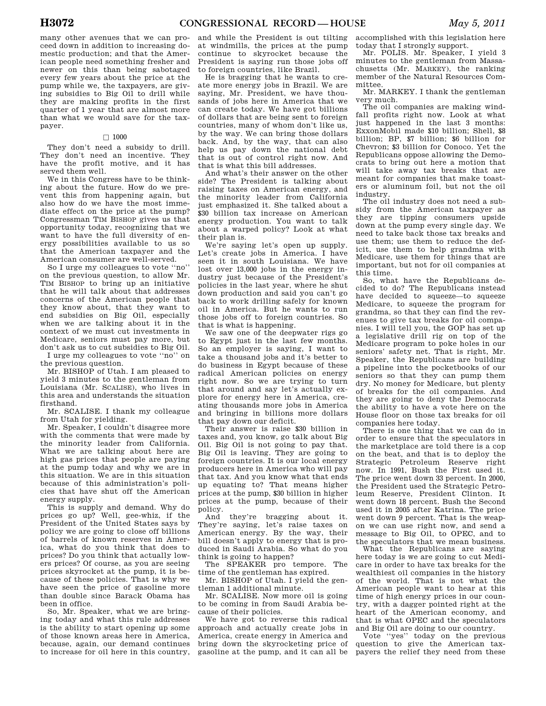many other avenues that we can proceed down in addition to increasing domestic production; and that the American people need something fresher and newer on this than being sabotaged every few years about the price at the pump while we, the taxpayers, are giving subsidies to Big Oil to drill while they are making profits in the first quarter of 1 year that are almost more than what we would save for the taxpayer.

## $\square$  1000

They don't need a subsidy to drill. They don't need an incentive. They have the profit motive, and it has served them well.

We in this Congress have to be thinking about the future. How do we prevent this from happening again, but also how do we have the most immediate effect on the price at the pump? Congressman TIM BISHOP gives us that opportunity today, recognizing that we want to have the full diversity of energy possibilities available to us so that the American taxpayer and the American consumer are well-served.

So I urge my colleagues to vote ''no'' on the previous question, to allow Mr. TIM BISHOP to bring up an initiative that he will talk about that addresses concerns of the American people that they know about, that they want to end subsidies on Big Oil, especially when we are talking about it in the context of we must cut investments in Medicare, seniors must pay more, but don't ask us to cut subsidies to Big Oil. I urge my colleagues to vote ''no'' on

the previous question.

Mr. BISHOP of Utah. I am pleased to yield 3 minutes to the gentleman from Louisiana (Mr. SCALISE), who lives in this area and understands the situation firsthand.

Mr. SCALISE. I thank my colleague from Utah for yielding.

Mr. Speaker, I couldn't disagree more with the comments that were made by the minority leader from California. What we are talking about here are high gas prices that people are paying at the pump today and why we are in this situation. We are in this situation because of this administration's policies that have shut off the American energy supply.

This is supply and demand. Why do prices go up? Well, gee-whiz, if the President of the United States says by policy we are going to close off billions of barrels of known reserves in America, what do you think that does to prices? Do you think that actually lowers prices? Of course, as you are seeing prices skyrocket at the pump, it is because of these policies. That is why we have seen the price of gasoline more than double since Barack Obama has been in office.

So, Mr. Speaker, what we are bringing today and what this rule addresses is the ability to start opening up some of those known areas here in America, because, again, our demand continues to increase for oil here in this country,

and while the President is out tilting at windmills, the prices at the pump continue to skyrocket because the President is saying run those jobs off to foreign countries, like Brazil.

He is bragging that he wants to create more energy jobs in Brazil. We are saying, Mr. President, we have thousands of jobs here in America that we can create today. We have got billions of dollars that are being sent to foreign countries, many of whom don't like us, by the way. We can bring those dollars back. And, by the way, that can also help us pay down the national debt that is out of control right now. And that is what this bill addresses.

And what's their answer on the other side? The President is talking about raising taxes on American energy, and the minority leader from California just emphasized it. She talked about a \$30 billion tax increase on American energy production. You want to talk about a warped policy? Look at what their plan is.

We're saying let's open up supply. Let's create jobs in America. I have seen it in south Louisiana. We have lost over 13,000 jobs in the energy industry just because of the President's policies in the last year, where he shut down production and said you can't go back to work drilling safely for known oil in America. But he wants to run those jobs off to foreign countries. So that is what is happening.

We saw one of the deepwater rigs go to Egypt just in the last few months. So an employer is saying, I want to take a thousand jobs and it's better to do business in Egypt because of these radical American policies on energy right now. So we are trying to turn that around and say let's actually explore for energy here in America, creating thousands more jobs in America and bringing in billions more dollars that pay down our deficit.

Their answer is raise \$30 billion in taxes and, you know, go talk about Big Oil. Big Oil is not going to pay that. Big Oil is leaving. They are going to foreign countries. It is our local energy producers here in America who will pay that tax. And you know what that ends up equating to? That means higher prices at the pump, \$30 billion in higher prices at the pump, because of their policy.

And they're bragging about it. They're saying, let's raise taxes on American energy. By the way, their bill doesn't apply to energy that is produced in Saudi Arabia. So what do you think is going to happen?

The SPEAKER pro tempore. The time of the gentleman has expired.

Mr. BISHOP of Utah. I yield the gentleman 1 additional minute.

Mr. SCALISE. Now more oil is going to be coming in from Saudi Arabia because of their policies.

We have got to reverse this radical approach and actually create jobs in America, create energy in America and bring down the skyrocketing price of gasoline at the pump, and it can all be

accomplished with this legislation here today that I strongly support.

Mr. POLIS. Mr. Speaker, I yield 3 minutes to the gentleman from Massachusetts (Mr. MARKEY), the ranking member of the Natural Resources Committee.

Mr. MARKEY. I thank the gentleman very much.

The oil companies are making windfall profits right now. Look at what just happened in the last 3 months: ExxonMobil made \$10 billion; Shell, \$8 billion; BP, \$7 billion; \$6 billion for Chevron; \$3 billion for Conoco. Yet the Republicans oppose allowing the Democrats to bring out here a motion that will take away tax breaks that are meant for companies that make toasters or aluminum foil, but not the oil industry.

The oil industry does not need a subsidy from the American taxpayer as they are tipping consumers upside down at the pump every single day. We need to take back those tax breaks and use them; use them to reduce the deficit, use them to help grandma with Medicare, use them for things that are important, but not for oil companies at this time.

So, what have the Republicans decided to do? The Republicans instead have decided to squeeze—to squeeze Medicare, to squeeze the program for grandma, so that they can find the revenues to give tax breaks for oil companies. I will tell you, the GOP has set up a legislative drill rig on top of the Medicare program to poke holes in our seniors' safety net. That is right, Mr. Speaker, the Republicans are building a pipeline into the pocketbooks of our seniors so that they can pump them dry. No money for Medicare, but plenty of breaks for the oil companies. And they are going to deny the Democrats the ability to have a vote here on the House floor on those tax breaks for oil companies here today.

There is one thing that we can do in order to ensure that the speculators in the marketplace are told there is a cop on the beat, and that is to deploy the Strategic Petroleum Reserve right now. In 1991, Bush the First used it. The price went down 33 percent. In 2000, the President used the Strategic Petroleum Reserve, President Clinton. It went down 18 percent. Bush the Second used it in 2005 after Katrina. The price went down 9 percent. That is the weapon we can use right now, and send a message to Big Oil, to OPEC, and to the speculators that we mean business.

What the Republicans are saying here today is we are going to cut Medicare in order to have tax breaks for the wealthiest oil companies in the history of the world. That is not what the American people want to hear at this time of high energy prices in our country, with a dagger pointed right at the heart of the American economy, and that is what OPEC and the speculators and Big Oil are doing to our country.

Vote ''yes'' today on the previous question to give the American taxpayers the relief they need from these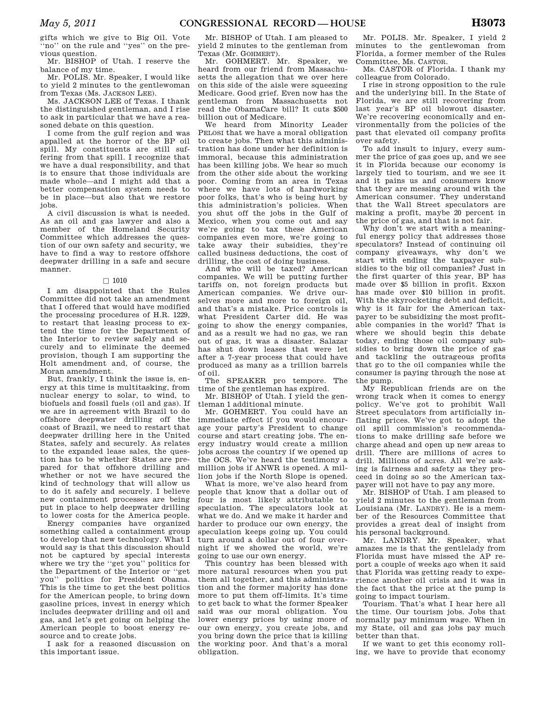gifts which we give to Big Oil. Vote ''no'' on the rule and ''yes'' on the previous question.

Mr. BISHOP of Utah. I reserve the balance of my time.

Mr. POLIS. Mr. Speaker, I would like to yield 2 minutes to the gentlewoman from Texas (Ms. JACKSON LEE).

Ms. JACKSON LEE of Texas. I thank the distinguished gentleman, and I rise to ask in particular that we have a reasoned debate on this question.

I come from the gulf region and was appalled at the horror of the BP oil spill. My constituents are still suffering from that spill. I recognize that we have a dual responsibility, and that is to ensure that those individuals are made whole—and I might add that a better compensation system needs to be in place—but also that we restore jobs.

A civil discussion is what is needed. As an oil and gas lawyer and also a member of the Homeland Security Committee which addresses the question of our own safety and security, we have to find a way to restore offshore deepwater drilling in a safe and secure manner.

## $\Box$  1010

I am disappointed that the Rules Committee did not take an amendment that I offered that would have modified the processing procedures of H.R. 1229, to restart that leasing process to extend the time for the Department of the Interior to review safely and securely and to eliminate the deemed provision, though I am supporting the Holt amendment and, of course, the Moran amendment.

But, frankly, I think the issue is, energy at this time is multitasking, from nuclear energy to solar, to wind, to biofuels and fossil fuels (oil and gas). If we are in agreement with Brazil to do offshore deepwater drilling off the coast of Brazil, we need to restart that deepwater drilling here in the United States, safely and securely. As relates to the expanded lease sales, the question has to be whether States are prepared for that offshore drilling and whether or not we have secured the kind of technology that will allow us to do it safely and securely. I believe new containment processes are being put in place to help deepwater drilling to lower costs for the America people.

Energy companies have organized something called a containment group to develop that new technology. What I would say is that this discussion should not be captured by special interests where we try the ''get you'' politics for the Department of the Interior or ''get you'' politics for President Obama. This is the time to get the best politics for the American people, to bring down gasoline prices, invest in energy which includes deepwater drilling and oil and gas, and let's get going on helping the American people to boost energy resource and to create jobs.

I ask for a reasoned discussion on this important issue.

Mr. BISHOP of Utah. I am pleased to yield 2 minutes to the gentleman from Texas (Mr. GOHMERT).

Mr. GOHMERT. Mr. Speaker, we heard from our friend from Massachusetts the allegation that we over here on this side of the aisle were squeezing Medicare. Good grief. Even now has the gentleman from Massachusetts not read the ObamaCare bill? It cuts \$500 billion out of Medicare.

We heard from Minority Leader PELOSI that we have a moral obligation to create jobs. Then what this administration has done under her definition is immoral, because this administration has been killing jobs. We hear so much from the other side about the working poor. Coming from an area in Texas where we have lots of hardworking poor folks, that's who is being hurt by this administration's policies. When you shut off the jobs in the Gulf of Mexico, when you come out and say we're going to tax these American companies even more, we're going to take away their subsidies, they're called business deductions, the cost of drilling, the cost of doing business.

And who will be taxed? American companies. We will be putting further tariffs on, not foreign products but American companies. We drive ourselves more and more to foreign oil, and that's a mistake. Price controls is what President Carter did. He was going to show the energy companies, and as a result we had no gas, we ran out of gas, it was a disaster. Salazar has shut down leases that were let after a 7-year process that could have produced as many as a trillion barrels of oil.

The SPEAKER pro tempore. The time of the gentleman has expired.

Mr. BISHOP of Utah. I yield the gentleman 1 additional minute.

Mr. GOHMERT. You could have an immediate effect if you would encourage your party's President to change course and start creating jobs. The energy industry would create a million jobs across the country if we opened up the OCS. We've heard the testimony a million jobs if ANWR is opened. A million jobs if the North Slope is opened.

What is more, we've also heard from people that know that a dollar out of four is most likely attributable to speculation. The speculators look at what we do. And we make it harder and harder to produce our own energy, the speculation keeps going up. You could turn around a dollar out of four overnight if we showed the world, we're going to use our own energy.

This country has been blessed with more natural resources when you put them all together, and this administration and the former majority has done more to put them off-limits. It's time to get back to what the former Speaker said was our moral obligation. You lower energy prices by using more of our own energy, you create jobs, and you bring down the price that is killing the working poor. And that's a moral obligation.

Mr. POLIS. Mr. Speaker, I yield 2 minutes to the gentlewoman from Florida, a former member of the Rules Committee, Ms. CASTOR.

Ms. CASTOR of Florida. I thank my colleague from Colorado.

I rise in strong opposition to the rule and the underlying bill. In the State of Florida, we are still recovering from last year's BP oil blowout disaster. We're recovering economically and environmentally from the policies of the past that elevated oil company profits over safety.

To add insult to injury, every summer the price of gas goes up, and we see it in Florida because our economy is largely tied to tourism, and we see it and it pains us and consumers know that they are messing around with the American consumer. They understand that the Wall Street speculators are making a profit, maybe 20 percent in the price of gas, and that is not fair.

Why don't we start with a meaningful energy policy that addresses those speculators? Instead of continuing oil company giveaways, why don't we start with ending the taxpayer subsidies to the big oil companies? Just in the first quarter of this year, BP has made over \$5 billion in profit. Exxon has made over \$10 billion in profit. With the skyrocketing debt and deficit, why is it fair for the American taxpayer to be subsidizing the most profitable companies in the world? That is where we should begin this debate today, ending those oil company subsidies to bring down the price of gas and tackling the outrageous profits that go to the oil companies while the consumer is paying through the nose at the pump.

My Republican friends are on the wrong track when it comes to energy policy. We've got to prohibit Wall Street speculators from artificially inflating prices. We've got to adopt the oil spill commission's recommendations to make drilling safe before we charge ahead and open up new areas to drill. There are millions of acres to drill. Millions of acres. All we're asking is fairness and safety as they proceed in doing so so the American taxpayer will not have to pay any more.

Mr. BISHOP of Utah. I am pleased to yield 2 minutes to the gentleman from Louisiana (Mr. LANDRY). He is a member of the Resources Committee that provides a great deal of insight from his personal background.

Mr. LANDRY. Mr. Speaker, what amazes me is that the gentlelady from Florida must have missed the AP report a couple of weeks ago when it said that Florida was getting ready to experience another oil crisis and it was in the fact that the price at the pump is going to impact tourism.

Tourism. That's what I hear here all the time. Our tourism jobs. Jobs that normally pay minimum wage. When in my State, oil and gas jobs pay much better than that.

If we want to get this economy rolling, we have to provide that economy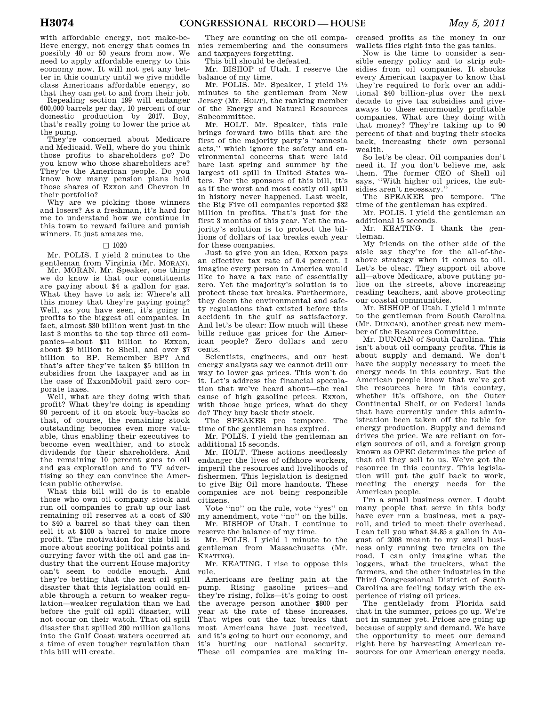with affordable energy, not make-believe energy, not energy that comes in possibly 40 or 50 years from now. We need to apply affordable energy to this economy now. It will not get any better in this country until we give middle class Americans affordable energy, so that they can get to and from their job.

Repealing section 199 will endanger 600,000 barrels per day, 10 percent of our domestic production by 2017. Boy, that's really going to lower the price at the pump.

They're concerned about Medicare and Medicaid. Well, where do you think those profits to shareholders go? Do you know who those shareholders are? They're the American people. Do you know how many pension plans hold those shares of Exxon and Chevron in their portfolio?

Why are we picking those winners and losers? As a freshman, it's hard for me to understand how we continue in this town to reward failure and punish winners. It just amazes me.

## $\Box$  1020

Mr. POLIS. I yield 2 minutes to the gentleman from Virginia (Mr. MORAN).

Mr. MORAN. Mr. Speaker, one thing we do know is that our constituents are paying about \$4 a gallon for gas. What they have to ask is: Where's all this money that they're paying going? Well, as you have seen, it's going in profits to the biggest oil companies. In fact, almost \$30 billion went just in the last 3 months to the top three oil companies—about \$11 billion to Exxon, about \$9 billion to Shell, and over \$7 billion to BP. Remember BP? And that's after they've taken \$5 billion in subsidies from the taxpayer and as in the case of ExxonMobil paid zero corporate taxes.

Well, what are they doing with that profit? What they're doing is spending 90 percent of it on stock buy-backs so that, of course, the remaining stock outstanding becomes even more valuable, thus enabling their executives to become even wealthier, and to stock dividends for their shareholders. And the remaining 10 percent goes to oil and gas exploration and to TV advertising so they can convince the American public otherwise.

What this bill will do is to enable those who own oil company stock and run oil companies to grab up our last remaining oil reserves at a cost of \$30 to \$40 a barrel so that they can then sell it at \$100 a barrel to make more profit. The motivation for this bill is more about scoring political points and currying favor with the oil and gas industry that the current House majority can't seem to coddle enough. And they're betting that the next oil spill disaster that this legislation could enable through a return to weaker regulation—weaker regulation than we had before the gulf oil spill disaster, will not occur on their watch. That oil spill disaster that spilled 200 million gallons into the Gulf Coast waters occurred at a time of even tougher regulation than this bill will create.

They are counting on the oil companies remembering and the consumers and taxpayers forgetting.

This bill should be defeated.

Mr. BISHOP of Utah. I reserve the balance of my time.

Mr. POLIS. Mr. Speaker, I yield 11⁄2 minutes to the gentleman from New Jersey (Mr. HOLT), the ranking member of the Energy and Natural Resources Subcommittee.

Mr. HOLT. Mr. Speaker, this rule brings forward two bills that are the first of the majority party's ''amnesia acts,'' which ignore the safety and environmental concerns that were laid bare last spring and summer by the largest oil spill in United States waters. For the sponsors of this bill, it's as if the worst and most costly oil spill in history never happened. Last week, the Big Five oil companies reported \$32 billion in profits. That's just for the first 3 months of this year. Yet the majority's solution is to protect the billions of dollars of tax breaks each year for these companies.

Just to give you an idea, Exxon pays an effective tax rate of 0.4 percent. I imagine every person in America would like to have a tax rate of essentially zero. Yet the majority's solution is to protect these tax breaks. Furthermore, they deem the environmental and safety regulations that existed before this accident in the gulf as satisfactory. And let's be clear: How much will these bills reduce gas prices for the American people? Zero dollars and zero cents.

Scientists, engineers, and our best energy analysts say we cannot drill our way to lower gas prices. This won't do it. Let's address the financial speculation that we've heard about—the real cause of high gasoline prices. Exxon, with those huge prices, what do they do? They buy back their stock.

The SPEAKER pro tempore. The time of the gentleman has expired.

Mr. POLIS. I yield the gentleman an additional 15 seconds.

Mr. HOLT. These actions needlessly endanger the lives of offshore workers, imperil the resources and livelihoods of fishermen. This legislation is designed to give Big Oil more handouts. These companies are not being responsible citizens.

Vote ''no'' on the rule, vote ''yes'' on my amendment, vote ''no'' on the bills. Mr. BISHOP of Utah. I continue to

reserve the balance of my time. Mr. POLIS. I yield 1 minute to the

gentleman from Massachusetts (Mr. KEATING).

Mr. KEATING. I rise to oppose this rule.

Americans are feeling pain at the pump. Rising gasoline prices—and they're rising, folks—it's going to cost the average person another \$800 per year at the rate of these increases. That wipes out the tax breaks that most Americans have just received, and it's going to hurt our economy, and it's hurting our national security. These oil companies are making in-

creased profits as the money in our wallets flies right into the gas tanks.

Now is the time to consider a sensible energy policy and to strip subsidies from oil companies. It shocks every American taxpayer to know that they're required to fork over an additional \$40 billion-plus over the next decade to give tax subsidies and giveaways to these enormously profitable companies. What are they doing with that money? They're taking up to 90 percent of that and buying their stocks back, increasing their own personal wealth.

So let's be clear. Oil companies don't need it. If you don't believe me, ask them. The former CEO of Shell oil says, ''With higher oil prices, the subsidies aren't necessary.''

The SPEAKER pro tempore. The time of the gentleman has expired.

Mr. POLIS. I yield the gentleman an additional 15 seconds.

Mr. KEATING. I thank the gentleman.

My friends on the other side of the aisle say they're for the all-of-theabove strategy when it comes to oil. Let's be clear. They support oil above all—above Medicare, above putting police on the streets, above increasing reading teachers, and above protecting our coastal communities.

Mr. BISHOP of Utah. I yield 1 minute to the gentleman from South Carolina (Mr. DUNCAN), another great new member of the Resources Committee.

Mr. DUNCAN of South Carolina. This isn't about oil company profits. This is about supply and demand. We don't have the supply necessary to meet the energy needs in this country. But the American people know that we've got the resources here in this country, whether it's offshore, on the Outer Continental Shelf, or on Federal lands that have currently under this administration been taken off the table for energy production. Supply and demand drives the price. We are reliant on foreign sources of oil, and a foreign group known as OPEC determines the price of that oil they sell to us. We've got the resource in this country. This legislation will put the gulf back to work, meeting the energy needs for the American people.

I'm a small business owner. I doubt many people that serve in this body have ever run a business, met a payroll, and tried to meet their overhead. I can tell you what \$4.85 a gallon in August of 2008 meant to my small business only running two trucks on the road. I can only imagine what the loggers, what the truckers, what the farmers, and the other industries in the Third Congressional District of South Carolina are feeling today with the experience of rising oil prices.

The gentlelady from Florida said that in the summer, prices go up. We're not in summer yet. Prices are going up because of supply and demand. We have the opportunity to meet our demand right here by harvesting American resources for our American energy needs.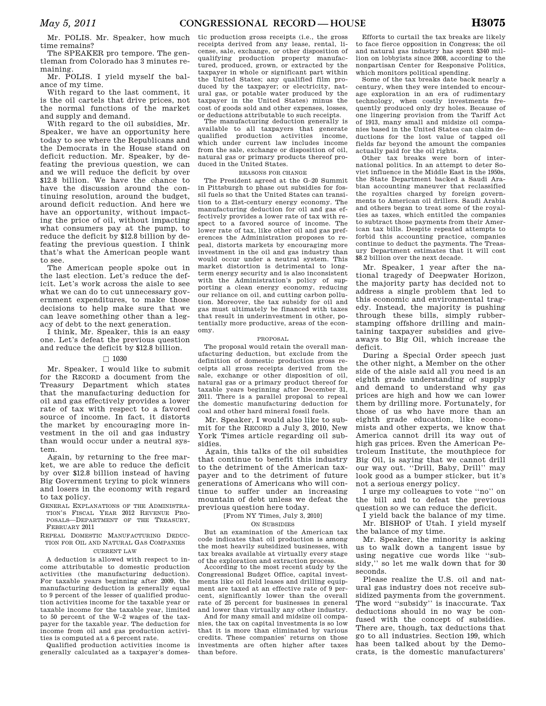Mr. POLIS. Mr. Speaker, how much time remains?

The SPEAKER pro tempore. The gentleman from Colorado has 3 minutes remaining.

Mr. POLIS. I yield myself the balance of my time.

With regard to the last comment, it is the oil cartels that drive prices, not the normal functions of the market and supply and demand.

With regard to the oil subsidies, Mr. Speaker, we have an opportunity here today to see where the Republicans and the Democrats in the House stand on deficit reduction. Mr. Speaker, by defeating the previous question, we can and we will reduce the deficit by over \$12.8 billion. We have the chance to have the discussion around the continuing resolution, around the budget, around deficit reduction. And here we have an opportunity, without impacting the price of oil, without impacting what consumers pay at the pump, to reduce the deficit by \$12.8 billion by defeating the previous question. I think that's what the American people want to see.

The American people spoke out in the last election. Let's reduce the deficit. Let's work across the aisle to see what we can do to cut unnecessary government expenditures, to make those decisions to help make sure that we can leave something other than a legacy of debt to the next generation.

I think, Mr. Speaker, this is an easy one. Let's defeat the previous question and reduce the deficit by \$12.8 billion.

### $\square$  1030

Mr. Speaker, I would like to submit for the RECORD a document from the Treasury Department which states that the manufacturing deduction for oil and gas effectively provides a lower rate of tax with respect to a favored source of income. In fact, it distorts the market by encouraging more investment in the oil and gas industry than would occur under a neutral system.

Again, by returning to the free market, we are able to reduce the deficit by over \$12.8 billion instead of having Big Government trying to pick winners and losers in the economy with regard to tax policy.

- GENERAL EXPLANATIONS OF THE ADMINISTRA-TION'S FISCAL YEAR 2012 REVENUE PRO-POSALS—DEPARTMENT OF THE TREASURY, FEBRUARY 2011
- REPEAL DOMESTIC MANUFACTURING DEDUC-TION FOR OIL AND NATURAL GAS COMPANIES CURRENT LAW

A deduction is allowed with respect to income attributable to domestic production activities (the manufacturing deduction). For taxable years beginning after 2009, the manufacturing deduction is generally equal to 9 percent of the lesser of qualified production activities income for the taxable year or taxable income for the taxable year, limited to 50 percent of the W–2 wages of the taxpayer for the taxable year. The deduction for income from oil and gas production activities is computed at a 6 percent rate.

Qualified production activities income is generally calculated as a taxpayer's domestic production gross receipts (i.e., the gross receipts derived from any lease, rental, license, sale, exchange, or other disposition of qualifying production property manufactured, produced, grown, or extracted by the taxpayer in whole or significant part within the United States; any qualified film produced by the taxpayer; or electricity, natural gas, or potable water produced by the taxpayer in the United States) minus the cost of goods sold and other expenses, losses, or deductions attributable to such receipts.

The manufacturing deduction generally is available to all taxpayers that generate production activities which under current law includes income from the sale, exchange or disposition of oil, natural gas or primary products thereof produced in the United States.

#### REASONS FOR CHANGE

The President agreed at the G–20 Summit in Pittsburgh to phase out subsidies for fossil fuels so that the United States can transition to a 21st-century energy economy. The manufacturing deduction for oil and gas effectively provides a lower rate of tax with respect to a favored source of income. The lower rate of tax, like other oil and gas preferences the Administration proposes to repeal, distorts markets by encouraging more investment in the oil and gas industry than would occur under a neutral system. This market distortion is detrimental to longterm energy security and is also inconsistent with the Administration's policy of supporting a clean energy economy, reducing our reliance on oil, and cutting carbon pollution. Moreover, the tax subsidy for oil and gas must ultimately be financed with taxes that result in underinvestment in other, potentially more productive, areas of the economy.

#### PROPOSAL

The proposal would retain the overall manufacturing deduction, but exclude from the definition of domestic production gross receipts all gross receipts derived from the sale, exchange or other disposition of oil, natural gas or a primary product thereof for taxable years beginning after December 31, 2011. There is a parallel proposal to repeal the domestic manufacturing deduction for coal and other hard mineral fossil fuels.

Mr. Speaker, I would also like to submit for the RECORD a July 3, 2010, New York Times article regarding oil subsidies.

Again, this talks of the oil subsidies that continue to benefit this industry to the detriment of the American taxpayer and to the detriment of future generations of Americans who will continue to suffer under an increasing mountain of debt unless we defeat the previous question here today.

> [From NY Times, July 3, 2010] ON SUBSIDIES

But an examination of the American tax code indicates that oil production is among the most heavily subsidized businesses, with tax breaks available at virtually every stage of the exploration and extraction process.

According to the most recent study by the Congressional Budget Office, capital investments like oil field leases and drilling equipment are taxed at an effective rate of 9 percent, significantly lower than the overall rate of 25 percent for businesses in general and lower than virtually any other industry.

And for many small and midsize oil companies, the tax on capital investments is so low that it is more than eliminated by various credits. These companies' returns on those investments are often higher after taxes than before.

Efforts to curtail the tax breaks are likely to face fierce opposition in Congress; the oil and natural gas industry has spent \$340 million on lobbyists since 2008, according to the nonpartisan Center for Responsive Politics, which monitors political spending.

Some of the tax breaks date back nearly a century, when they were intended to encourage exploration in an era of rudimentary technology, when costly investments frequently produced only dry holes. Because of one lingering provision from the Tariff Act of 1913, many small and midsize oil companies based in the United States can claim deductions for the lost value of tapped oil fields far beyond the amount the companies actually paid for the oil rights.

Other tax breaks were born of international politics. In an attempt to deter Soviet influence in the Middle East in the 1950s, the State Department backed a Saudi Arabian accounting maneuver that reclassified the royalties charged by foreign governments to American oil drillers. Saudi Arabia and others began to treat some of the royalties as taxes, which entitled the companies to subtract those payments from their American tax bills. Despite repeated attempts to forbid this accounting practice, companies continue to deduct the payments. The Treasury Department estimates that it will cost \$8.2 billion over the next decade.

Mr. Speaker, 1 year after the national tragedy of Deepwater Horizon, the majority party has decided not to address a single problem that led to this economic and environmental tragedy. Instead, the majority is pushing through these bills, simply rubberstamping offshore drilling and maintaining taxpayer subsidies and giveaways to Big Oil, which increase the deficit.

During a Special Order speech just the other night, a Member on the other side of the aisle said all you need is an eighth grade understanding of supply and demand to understand why gas prices are high and how we can lower them by drilling more. Fortunately, for those of us who have more than an eighth grade education, like economists and other experts, we know that America cannot drill its way out of high gas prices. Even the American Petroleum Institute, the mouthpiece for Big Oil, is saying that we cannot drill our way out. ''Drill, Baby, Drill'' may look good as a bumper sticker, but it's not a serious energy policy.

I urge my colleagues to vote ''no'' on the bill and to defeat the previous question so we can reduce the deficit.

I yield back the balance of my time. Mr. BISHOP of Utah. I yield myself the balance of my time.

Mr. Speaker, the minority is asking us to walk down a tangent issue by using negative cue words like ''subsidy," so let me walk down that for 30 seconds.

Please realize the U.S. oil and natural gas industry does not receive subsidized payments from the government. The word ''subsidy'' is inaccurate. Tax deductions should in no way be confused with the concept of subsidies. There are, though, tax deductions that go to all industries. Section 199, which has been talked about by the Democrats, is the domestic manufacturers'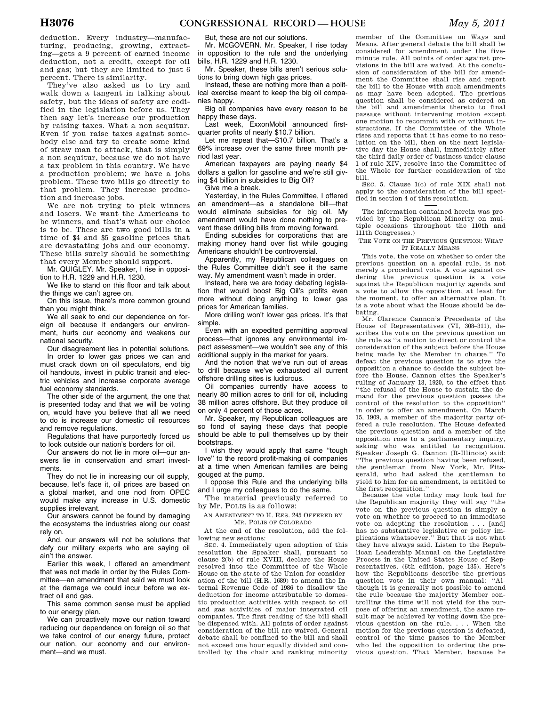deduction. Every industry—manufacturing, producing, growing, extracting—gets a 9 percent of earned income deduction, not a credit, except for oil and gas; but they are limited to just 6 percent. There is similarity.

They've also asked us to try and walk down a tangent in talking about safety, but the ideas of safety are codified in the legislation before us. They then say let's increase our production by raising taxes. What a non sequitur. Even if you raise taxes against somebody else and try to create some kind of straw man to attack, that is simply a non sequitur, because we do not have a tax problem in this country. We have a production problem; we have a jobs problem. These two bills go directly to that problem. They increase production and increase jobs.

We are not trying to pick winners and losers. We want the Americans to be winners, and that's what our choice is to be. These are two good bills in a time of \$4 and \$5 gasoline prices that are devastating jobs and our economy. These bills surely should be something that every Member should support.

Mr. QUIGLEY. Mr. Speaker, I rise in opposition to H.R. 1229 and H.R. 1230.

We like to stand on this floor and talk about the things we can't agree on.

On this issue, there's more common ground than you might think.

We all seek to end our dependence on foreign oil because it endangers our environment, hurts our economy and weakens our national security.

Our disagreement lies in potential solutions. In order to lower gas prices we can and must crack down on oil speculators, end big oil handouts, invest in public transit and electric vehicles and increase corporate average fuel economy standards.

The other side of the argument, the one that is presented today and that we will be voting on, would have you believe that all we need to do is increase our domestic oil resources and remove regulations.

Regulations that have purportedly forced us to look outside our nation's borders for oil.

Our answers do not lie in more oil—our answers lie in conservation and smart investments.

They do not lie in increasing our oil supply, because, let's face it, oil prices are based on a global market, and one nod from OPEC would make any increase in U.S. domestic supplies irrelevant.

Our answers cannot be found by damaging the ecosystems the industries along our coast rely on.

And, our answers will not be solutions that defy our military experts who are saying oil ain't the answer.

Earlier this week, I offered an amendment that was not made in order by the Rules Committee—an amendment that said we must look at the damage we could incur before we extract oil and gas.

This same common sense must be applied to our energy plan.

We can proactively move our nation toward reducing our dependence on foreign oil so that we take control of our energy future, protect our nation, our economy and our environment—and we must.

But, these are not our solutions.

Mr. MCGOVERN. Mr. Speaker, I rise today in opposition to the rule and the underlying bills, H.R. 1229 and H.R. 1230.

Mr. Speaker, these bills aren't serious solutions to bring down high gas prices.

Instead, these are nothing more than a political exercise meant to keep the big oil companies happy.

Big oil companies have every reason to be happy these days.

Last week, ExxonMobil announced firstquarter profits of nearly \$10.7 billion.

Let me repeat that—\$10.7 billion. That's a 69% increase over the same three month period last year.

American taxpayers are paying nearly \$4 dollars a gallon for gasoline and we're still giving \$4 billion in subsidies to Big Oil?

Give me a break.

Yesterday, in the Rules Committee, I offered an amendment—as a standalone bill—that would eliminate subsidies for big oil. My amendment would have done nothing to prevent these drilling bills from moving forward.

Ending subsidies for corporations that are making money hand over fist while gouging Americans shouldn't be controversial.

Apparently, my Republican colleagues on the Rules Committee didn't see it the same way. My amendment wasn't made in order.

Instead, here we are today debating legislation that would boost Big Oil's profits even more without doing anything to lower gas prices for American families.

More drilling won't lower gas prices. It's that simple.

Even with an expedited permitting approval process—that ignores any environmental impact assessment—we wouldn't see any of this additional supply in the market for years.

And the notion that we've run out of areas to drill because we've exhausted all current offshore drilling sites is ludicrous.

Oil companies currently have access to nearly 80 million acres to drill for oil, including 38 million acres offshore. But they produce oil on only 4 percent of those acres.

Mr. Speaker, my Republican colleagues are so fond of saying these days that people should be able to pull themselves up by their bootstraps.

I wish they would apply that same "tough love'' to the record profit-making oil companies at a time when American families are being gouged at the pump.

I oppose this Rule and the underlying bills and I urge my colleagues to do the same.

The material previously referred to by Mr. POLIS is as follows:

AN AMENDMENT TO H. RES. 245 OFFERED BY MR. POLIS OF COLORADO

At the end of the resolution, add the following new sections:

SEC. 4. Immediately upon adoption of this resolution the Speaker shall, pursuant to clause 2(b) of rule XVIII, declare the House resolved into the Committee of the Whole House on the state of the Union for consideration of the bill (H.R. 1689) to amend the Internal Revenue Code of 1986 to disallow the deduction for income attributable to domestic production activities with respect to oil and gas activities of major integrated oil companies. The first reading of the bill shall be dispensed with. All points of order against consideration of the bill are waived. General debate shall be confined to the bill and shall not exceed one hour equally divided and controlled by the chair and ranking minority

member of the Committee on Ways and Means. After general debate the bill shall be considered for amendment under the fiveminute rule. All points of order against provisions in the bill are waived. At the conclusion of consideration of the bill for amendment the Committee shall rise and report the bill to the House with such amendments as may have been adopted. The previous question shall be considered as ordered on the bill and amendments thereto to final passage without intervening motion except one motion to recommit with or without instructions. If the Committee of the Whole rises and reports that it has come to no resolution on the bill, then on the next legislative day the House shall, immediately after the third daily order of business under clause 1 of rule XIV, resolve into the Committee of the Whole for further consideration of the bill.

SEC. 5. Clause 1(c) of rule XIX shall not apply to the consideration of the bill specified in section 4 of this resolution.

The information contained herein was provided by the Republican Minority on multiple occasions throughout the 110th and 111th Congresses.)

THE VOTE ON THE PREVIOUS QUESTION: WHAT IT REALLY MEANS

This vote, the vote on whether to order the previous question on a special rule, is not merely a procedural vote. A vote against ordering the previous question is a vote against the Republican majority agenda and a vote to allow the opposition, at least for the moment, to offer an alternative plan. It is a vote about what the House should be de-

bating. Mr. Clarence Cannon's Precedents of the House of Representatives (VI, 308–311), describes the vote on the previous question on the rule as ''a motion to direct or control the consideration of the subject before the House being made by the Member in charge.'' To defeat the previous question is to give the opposition a chance to decide the subject before the House. Cannon cites the Speaker's ruling of January 13, 1920, to the effect that ''the refusal of the House to sustain the demand for the previous question passes the control of the resolution to the opposition'' in order to offer an amendment. On March 15, 1909, a member of the majority party offered a rule resolution. The House defeated the previous question and a member of the opposition rose to a parliamentary inquiry, asking who was entitled to recognition. Speaker Joseph G. Cannon (R-Illinois) said: ''The previous question having been refused, the gentleman from New York, Mr. Fitzgerald, who had asked the gentleman to yield to him for an amendment, is entitled to the first recognition.''

Because the vote today may look bad for the Republican majority they will say ''the vote on the previous question is simply a vote on whether to proceed to an immediate vote on adopting the resolution . . . [and] has no substantive legislative or policy implications whatsoever.'' But that is not what they have always said. Listen to the Republican Leadership Manual on the Legislative Process in the United States House of Representatives, (6th edition, page 135). Here's how the Republicans describe the previous question vote in their own manual: ''Although it is generally not possible to amend the rule because the majority Member controlling the time will not yield for the purpose of offering an amendment, the same result may be achieved by voting down the previous question on the rule. . . . When the motion for the previous question is defeated, control of the time passes to the Member who led the opposition to ordering the previous question. That Member, because he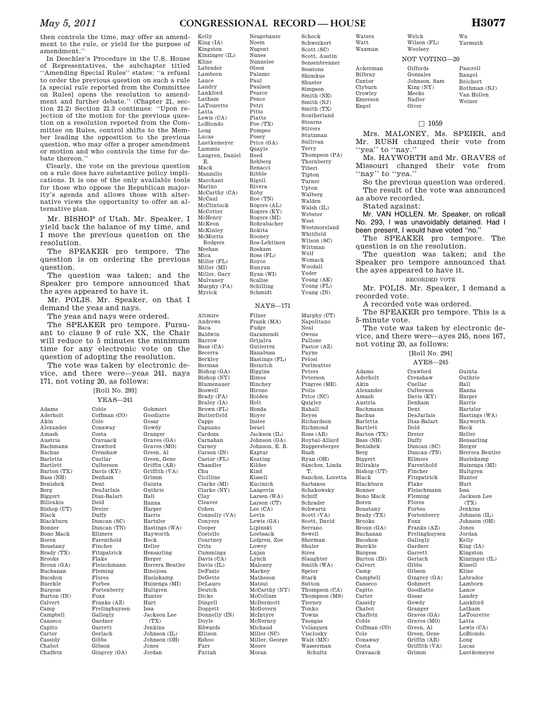## *May 5, 2011* **CONGRESSIONAL RECORD — HOUSE H3077**

Schock

Neugebauer Noem Nugent

then controls the time, may offer an amendment to the rule, or yield for the purpose of amendment.''

In Deschler's Procedure in the U.S. House of Representatives, the subchapter titled ''Amending Special Rules'' states: ''a refusal to order the previous question on such a rule [a special rule reported from the Committee on Rules] opens the resolution to amendment and further debate.'' (Chapter 21, section 21.2) Section 21.3 continues: ''Upon rejection of the motion for the previous question on a resolution reported from the Committee on Rules, control shifts to the Member leading the opposition to the previous question, who may offer a proper amendment or motion and who controls the time for debate thereon.''

Clearly, the vote on the previous question on a rule does have substantive policy implications. It is one of the only available tools for those who oppose the Republican majority's agenda and allows those with alternative views the opportunity to offer an alternative plan.

Mr. BISHOP of Utah. Mr. Speaker, I yield back the balance of my time, and I move the previous question on the resolution.

The SPEAKER pro tempore. The question is on ordering the previous question.

The question was taken; and the Speaker pro tempore announced that the ayes appeared to have it.

Mr. POLIS. Mr. Speaker, on that I demand the yeas and nays.

The yeas and nays were ordered.

The SPEAKER pro tempore. Pursuant to clause 9 of rule  $X\overline{X}$ , the Chair will reduce to 5 minutes the minimum time for any electronic vote on the question of adopting the resolution.

The vote was taken by electronic device, and there were—yeas 241, nays 171, not voting 20, as follows:

Adams Aderholt Akin Alexander Amash Austria Bachmann Bachus Barletta Bartlett Barton (TX) Bass (NH) Benishek Berg Biggert Bilirakis Bishop (UT) Black Blackburn Bonner Bono Mack Boren Boustany Brady (TX) Brooks Broun (GA) Buchanan Bucshon Buerkle Burgess Burton (IN) Calvert Camp Campbell Canseco Capito Carter Cassidy Chabot Chaffetz

[Roll No. 293] YEAS—241 Coble Coffman (CO) Cole Conaway Costa Cravaack Crawford Crenshaw Cuellar Culberson Davis (KY) Denham Dent DesJarlais Diaz-Balart Dold Dreier Duffy Duncan (SC) Duncan (TN) Ellmers Farenthold Fincher Fitzpatrick Flake Fleischmann Fleming Flores Forbes Fortenberry Foxx Franks (AZ) Frelinghuysen Gallegly Gardner Garrett Gerlach Gibbs Gibson Gingrey (GA) Gohmert Goodlatte Gosar Gowdy Granger Graves (GA) Graves (MO) Green, Al Green, Gene Griffin (AR) Griffith (VA) Grimm Guinta Guthrie Hall Hanna Harper Harris Hartzler Hastings (WA) Hayworth Heck Heller Hensarling Herger Herrera Beutler Hinojosa Huelskamp Huizenga (MI) Hultgren Hunter Hurt Issa Jackson Lee (TX) Jenkins Johnson (IL) Johnson (OH) Jones

Jordan

King (IA) Kingston Kinzinger (IL) Kline Labrador Lamborn Lance Landry Lankford Latham LaTourette Latta Lewis (CA) LoBiondo Long Lucas Luetkemeyer Lummis Lungren, Daniel E. Mack Manzullo Marchant Marino McCarthy (CA) McCaul McClintock McCotter McHenry McKeon McKinley McMorris Rodgers Meehan Mica Miller (FL) Miller (MI) Miller, Gary Mulvaney Murphy (PA) Myrick Altmire Andrews Baca Baldwin Barrow Bass (CA) Becerra Berkley Berman Bishop (GA) Bishop (NY) Blumenauer Boswell Brady (PA) Braley (IA) Brown (FL) Butterfield Capps Capuano Cardoza Carnahan Carney Carson (IN) Castor (FL) Chandler Chu Cicilline Clarke (MI) Clarke (NY) Clay Cleaver Cohen Connolly (VA) Conyers Cooper Costello Courtney Critz Cummings Davis (CA) Davis (IL) DeFazio DeGette DeLauro

Deutch Dicks Dingell Doggett Donnelly (IN) Doyle Edwards Ellison Eshoo Farr Fattah

Kelly

Nunes Nunnelee Olson Palazzo Paul Paulsen Pearce Pence Petri Pitts Platts Poe (TX) Pompeo Posey Price (GA) Quayle Reed Rehberg Renacci Ribble Rigell Rivera Roby Roe (TN) Rogers (AL) Rogers (KY) Rogers (MI) Rohrabacher Rokita Rooney Ros-Lehtinen Roskam Ross (FL) Royce Runyan Ryan (WI) Scalise Schilling Schmidt NAYS—171 Filner Frank (MA) Fudge Garamendi Grijalva Gutierrez Hanabusa Hastings (FL) Heinrich Higgins Himes Hinchey Hirono Holden Holt Honda Hoyer Inslee Israel Jackson (IL) Johnson (GA) Johnson, E. B.

Kaptur Keating Kildee Kind Kissell Kucinich Langevin

Lee (CA) Levin

Lipinski Loebsack

Lowey Luján Lynch Maloney Markey

Matsui

McIntyre

Michaud

Moore Moran

Sessions Shuster Simpson Stearns Stivers Terry Tiberi Tipton Turner Upton Walberg Walden Webster West Wolf Womack Woodall Yoder Larsen (WA) Larson (CT) Lewis (GA) Lofgren, Zoe Matheson McCarthy (NY) McCollum McDermott McGovern McNerney Miller (NC) Miller, George Neal Owens Pallone Payne Pelosi Peters Peterson Polis Quigley Rahall Reyes Rush T. Schiff Schrader Serrano Sewell Shuler Sires Speier Stark Sutton Tierney Tonko Towns Tsongas

Schweikert Scott (SC) Scott, Austin Sensenbrenner Shimkus Smith (NE) Smith (NJ) Smith (TX) Southerland Stutzman Sullivan Thompson (PA) Thornberry Walsh (IL) Westmoreland Whitfield Wilson (SC) Wittman Young (AK) Young (FL) Young (IN) Murphy (CT) Napolitano Pastor (AZ) Perlmutter Pingree (ME) Price (NC) Richardson Richmond Ross (AR) Roybal-Allard Ruppersberger Ryan (OH) Sanchez, Linda Sanchez, Loretta Sarbanes Schakowsky Schwartz Scott (VA) Scott, David Sherman Slaughter Smith (WA) Thompson (CA) Thompson (MS) Velázquez Visclosky Walz (MN) Wasserman Schultz

Waters Watt Waxman

Ackerman Bilbray Cantor Clyburn Crowley Emerson Engel

NOT VOTING—20 Giffords Gonzalez Johnson, Sam King (NY) Meeks

Welch Wilson (FL) Woolsey

Nadler Olver

Pascrell Rangel Reichert Rothman (NJ) Van Hollen Weiner

Wu Yarmuth

## $\Box$  1059

Mrs. MALONEY, Ms. SPEIER, and Mr. RUSH changed their vote from "yea" to "nay."

Ms. HAYWORTH and Mr. GRAVES of Missouri changed their vote from ''nay'' to ''yea.''

So the previous question was ordered. The result of the vote was announced as above recorded.

Stated against:

Mr. VAN HOLLEN. Mr. Speaker, on rollcall No. 293, I was unavoidably detained. Had I been present, I would have voted "no."

The SPEAKER pro tempore. The question is on the resolution.

The question was taken; and the Speaker pro tempore announced that the ayes appeared to have it.

RECORDED VOTE

Mr. POLIS. Mr. Speaker, I demand a recorded vote.

A recorded vote was ordered.

Crawford Crenshaw Cuellar Culberson Davis (KY) Denham Dent DesJarlais Diaz-Balart Dold Dreier Duffy Duncan (SC) Duncan (TN) Ellmers Farenthold Fincher Fitzpatrick Flake Fleischmann Fleming Flores Forbes Fortenberry Foxx Franks (AZ) Frelinghuysen Gallegly Gardner Garrett Gerlach Gibbs Gibson Gingrey (GA) Gohmert Goodlatte Gosar Gowdy Granger Graves (GA) Graves (MO) Green, Al Green, Gene Griffin (AR) Griffith (VA) Grimm

The SPEAKER pro tempore. This is a 5-minute vote.

The vote was taken by electronic device, and there were—ayes 245, noes 167, not voting 20, as follows:

[Roll No. 294] AYES—245

Adams Aderholt Akin Alexander Amash Austria Bachmann Bachus Barletta Bartlett Barton (TX) Bass (NH) Benishek Berg Biggert Bilirakis Bishop (UT) Black Blackburn Bonner Bono Mack Boren Boustany Brady (TX) Brooks Broun (GA) Buchanan Bucshon Buerkle Burgess Burton (IN) Calvert Camp Campbell Canseco Capito Carter Cassidy Chabot Chaffetz Coble Coffman (CO) Cole Conaway Costa Cravaack

Guinta Guthrie Hall Hanna Harper Harris Hartzler Hastings (WA) Hayworth Heck Heller Hensarling Herger Herrera Beutler Huelskamp Huizenga (MI) Hultgren Hunter Hurt Issa Jackson Lee (TX) Jenkins Johnson (IL) Johnson (OH) Jones Jordan Kelly King (IA) Kingston Kinzinger (IL) Kissell Kline Labrador Lamborn Lance Landry Lankford Latham LaTourette Latta Lewis (CA) LoBiondo Long Lucas Luetkemeyer